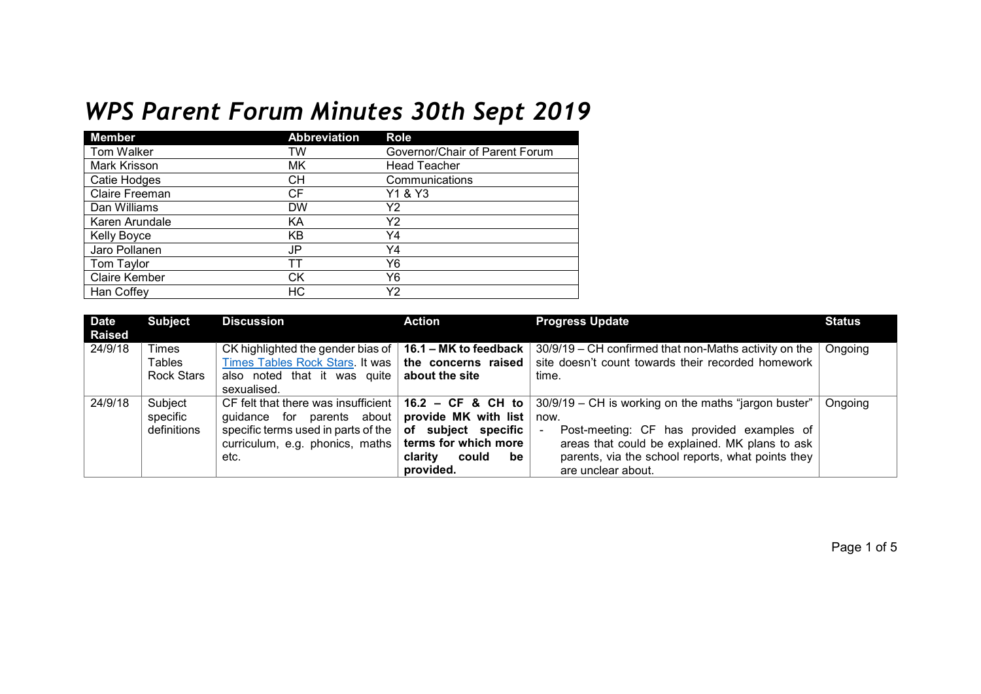## *WPS Parent Forum Minutes 30th Sept 2019*

| <b>Member</b>        | <b>Abbreviation</b> | Role                           |
|----------------------|---------------------|--------------------------------|
| Tom Walker           | TW                  | Governor/Chair of Parent Forum |
| Mark Krisson         | МK                  | <b>Head Teacher</b>            |
| Catie Hodges         | CН                  | Communications                 |
| Claire Freeman       | СF                  | Y1 & Y3                        |
| Dan Williams         | <b>DW</b>           | Υ2                             |
| Karen Arundale       | KA                  | Υ2                             |
| <b>Kelly Boyce</b>   | KB                  | Y4                             |
| Jaro Pollanen        | JP                  | Y4                             |
| Tom Taylor           | тт                  | Υ6                             |
| <b>Claire Kember</b> | СK                  | Υ6                             |
| Han Coffey           | НC                  | Υ2                             |

| <b>Date</b><br><b>Raised</b> | <b>Subject</b>                       | <b>Discussion</b>                                                                                                                                                | <b>Action</b>                                                                                                                     | <b>Progress Update</b>                                                                                                                                                                                                                                             | <b>Status</b> |
|------------------------------|--------------------------------------|------------------------------------------------------------------------------------------------------------------------------------------------------------------|-----------------------------------------------------------------------------------------------------------------------------------|--------------------------------------------------------------------------------------------------------------------------------------------------------------------------------------------------------------------------------------------------------------------|---------------|
| 24/9/18                      | Times<br>Tables<br><b>Rock Stars</b> | CK highlighted the gender bias of $\parallel$<br>Times Tables Rock Stars. It was<br>also noted that it was quite<br>sexualised.                                  | 16.1 – MK to feedback<br>the concerns raised<br>about the site                                                                    | 30/9/19 – CH confirmed that non-Maths activity on the<br>site doesn't count towards their recorded homework<br>time.                                                                                                                                               | Ongoing       |
| 24/9/18                      | Subject<br>specific<br>definitions   | CF felt that there was insufficient<br>quidance for<br>parents about  <br>specific terms used in parts of the<br>curriculum, e.g. phonics, maths $\vert$<br>etc. | $16.2 - CF & CH to$<br>provide MK with list<br>of subject specific<br>terms for which more<br>clarity<br>could<br>be<br>provided. | 30/9/19 - CH is working on the maths "jargon buster"<br>now.<br>Post-meeting: CF has provided examples of<br>$\overline{\phantom{a}}$<br>areas that could be explained. MK plans to ask<br>parents, via the school reports, what points they<br>are unclear about. | Ongoing       |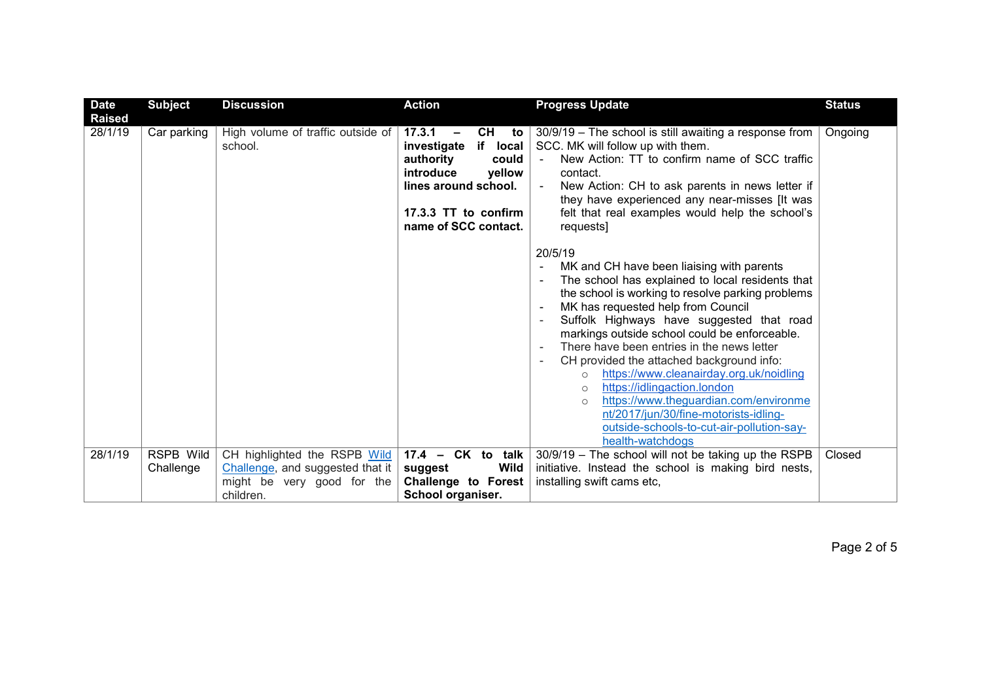| <b>Date</b><br><b>Raised</b> | <b>Subject</b>         | <b>Discussion</b>                                                | <b>Action</b>                                                                                                                                                                                  | <b>Progress Update</b>                                                                                                                                                                                                                                                                                                                                                                                                                                                                                                                                                                                                                                     | <b>Status</b> |
|------------------------------|------------------------|------------------------------------------------------------------|------------------------------------------------------------------------------------------------------------------------------------------------------------------------------------------------|------------------------------------------------------------------------------------------------------------------------------------------------------------------------------------------------------------------------------------------------------------------------------------------------------------------------------------------------------------------------------------------------------------------------------------------------------------------------------------------------------------------------------------------------------------------------------------------------------------------------------------------------------------|---------------|
| 28/1/19                      | Car parking            | High volume of traffic outside of<br>school.                     | CH<br>17.3.1<br>to<br>$\overline{\phantom{m}}$<br>if local<br>investigate<br>authority<br>could<br>introduce<br>yellow<br>lines around school.<br>17.3.3 TT to confirm<br>name of SCC contact. | 30/9/19 - The school is still awaiting a response from<br>SCC. MK will follow up with them.<br>New Action: TT to confirm name of SCC traffic<br>$\sim$<br>contact.<br>New Action: CH to ask parents in news letter if<br>$\blacksquare$<br>they have experienced any near-misses [It was<br>felt that real examples would help the school's<br>requests]                                                                                                                                                                                                                                                                                                   | Ongoing       |
|                              |                        |                                                                  |                                                                                                                                                                                                | 20/5/19<br>MK and CH have been liaising with parents<br>The school has explained to local residents that<br>the school is working to resolve parking problems<br>MK has requested help from Council<br>Suffolk Highways have suggested that road<br>markings outside school could be enforceable.<br>There have been entries in the news letter<br>CH provided the attached background info:<br>https://www.cleanairday.org.uk/noidling<br>$\circ$<br>https://idlingaction.london<br>$\circ$<br>https://www.theguardian.com/environme<br>$\circ$<br>nt/2017/jun/30/fine-motorists-idling-<br>outside-schools-to-cut-air-pollution-say-<br>health-watchdogs |               |
| 28/1/19                      | RSPB Wild<br>Challenge | CH highlighted the RSPB Wild<br>Challenge, and suggested that it | $17.4$ – CK to talk<br>Wild<br>suggest                                                                                                                                                         | 30/9/19 - The school will not be taking up the RSPB<br>initiative. Instead the school is making bird nests,                                                                                                                                                                                                                                                                                                                                                                                                                                                                                                                                                | Closed        |
|                              |                        | might be very good for the                                       | Challenge to Forest                                                                                                                                                                            | installing swift cams etc,                                                                                                                                                                                                                                                                                                                                                                                                                                                                                                                                                                                                                                 |               |
|                              |                        | children.                                                        | School organiser.                                                                                                                                                                              |                                                                                                                                                                                                                                                                                                                                                                                                                                                                                                                                                                                                                                                            |               |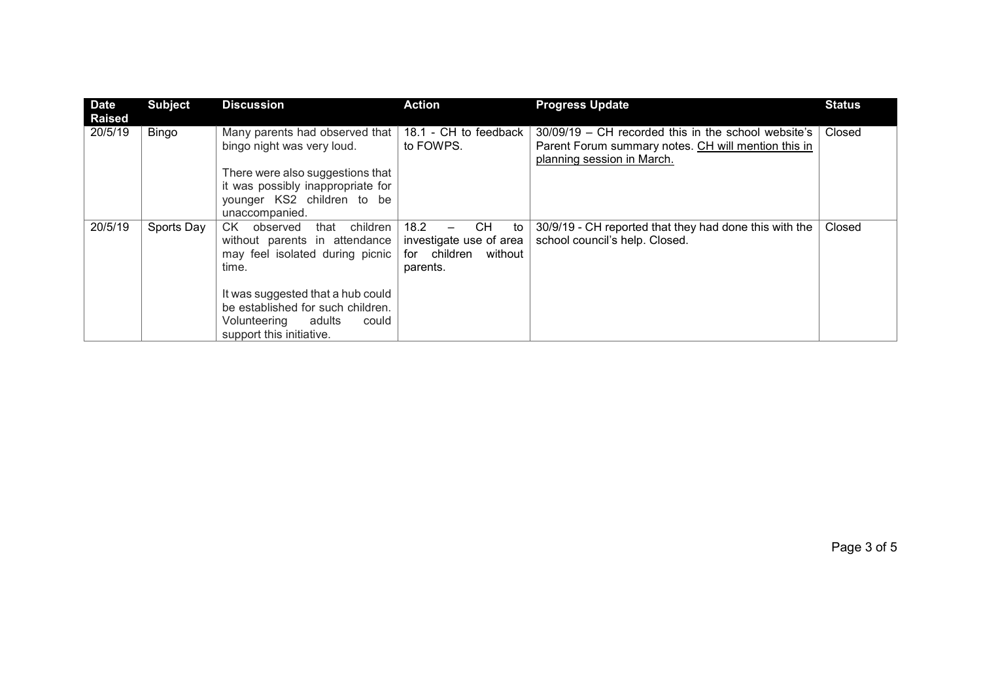| <b>Date</b><br><b>Raised</b> | <b>Subject</b> | <b>Discussion</b>                                                                                                                                                                                                                                        | <b>Action</b>                                                                                           | <b>Progress Update</b>                                                                                                                   | <b>Status</b> |
|------------------------------|----------------|----------------------------------------------------------------------------------------------------------------------------------------------------------------------------------------------------------------------------------------------------------|---------------------------------------------------------------------------------------------------------|------------------------------------------------------------------------------------------------------------------------------------------|---------------|
| 20/5/19                      | Bingo          | Many parents had observed that<br>bingo night was very loud.<br>There were also suggestions that<br>it was possibly inappropriate for<br>younger KS2 children to be<br>unaccompanied.                                                                    | 18.1 - CH to feedback<br>to FOWPS.                                                                      | 30/09/19 – CH recorded this in the school website's<br>Parent Forum summary notes. CH will mention this in<br>planning session in March. | Closed        |
| 20/5/19                      | Sports Day     | children<br>CK<br>observed<br>that<br>without parents in attendance<br>may feel isolated during picnic<br>time.<br>It was suggested that a hub could<br>be established for such children.<br>Volunteering<br>adults<br>could<br>support this initiative. | 18.2<br>CH<br>to<br>$\qquad \qquad -$<br>investigate use of area<br>for children<br>without<br>parents. | 30/9/19 - CH reported that they had done this with the<br>school council's help. Closed.                                                 | Closed        |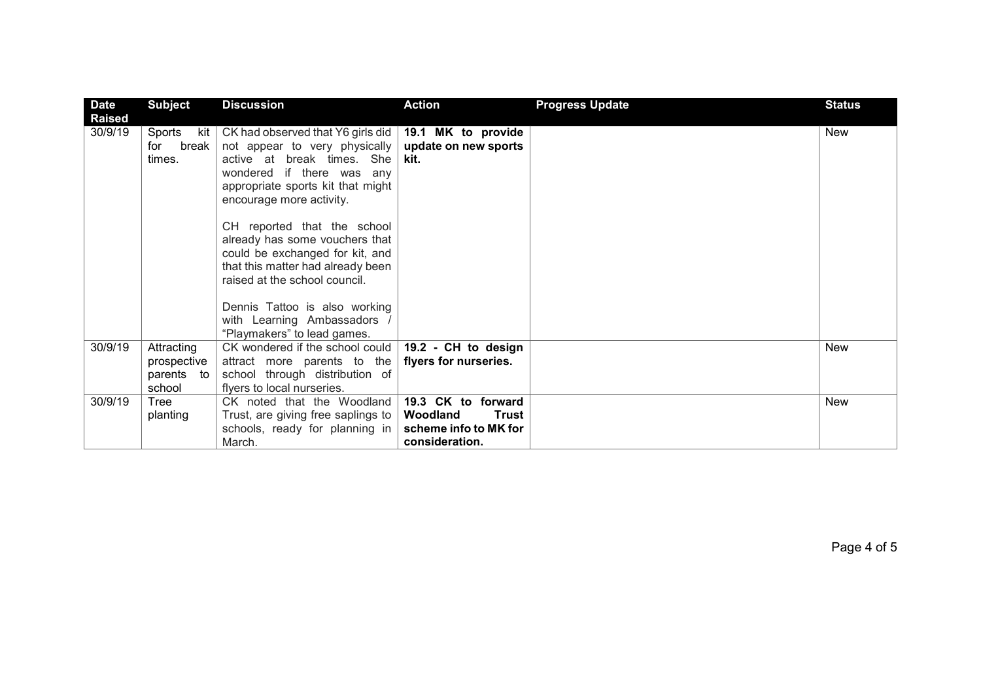| <b>Date</b>              | <b>Subject</b>                                    | <b>Discussion</b>                                                                                                                                                                              | <b>Action</b>                                                                             | <b>Progress Update</b> | <b>Status</b> |
|--------------------------|---------------------------------------------------|------------------------------------------------------------------------------------------------------------------------------------------------------------------------------------------------|-------------------------------------------------------------------------------------------|------------------------|---------------|
| <b>Raised</b><br>30/9/19 | Sports<br>kit<br>break<br>for<br>times.           | CK had observed that Y6 girls did<br>not appear to very physically<br>active at break times. She<br>wondered if there was any<br>appropriate sports kit that might<br>encourage more activity. | 19.1 MK to provide<br>update on new sports<br>kit.                                        |                        | <b>New</b>    |
|                          |                                                   | CH reported that the school<br>already has some vouchers that<br>could be exchanged for kit, and<br>that this matter had already been<br>raised at the school council.                         |                                                                                           |                        |               |
|                          |                                                   | Dennis Tattoo is also working<br>with Learning Ambassadors /<br>"Playmakers" to lead games.                                                                                                    |                                                                                           |                        |               |
| 30/9/19                  | Attracting<br>prospective<br>parents to<br>school | CK wondered if the school could<br>attract more parents to the<br>school through distribution of<br>flyers to local nurseries.                                                                 | 19.2 - CH to design<br>flyers for nurseries.                                              |                        | <b>New</b>    |
| 30/9/19                  | Tree<br>planting                                  | CK noted that the Woodland<br>Trust, are giving free saplings to<br>schools, ready for planning in<br>March.                                                                                   | 19.3 CK to forward<br>Woodland<br><b>Trust</b><br>scheme info to MK for<br>consideration. |                        | <b>New</b>    |